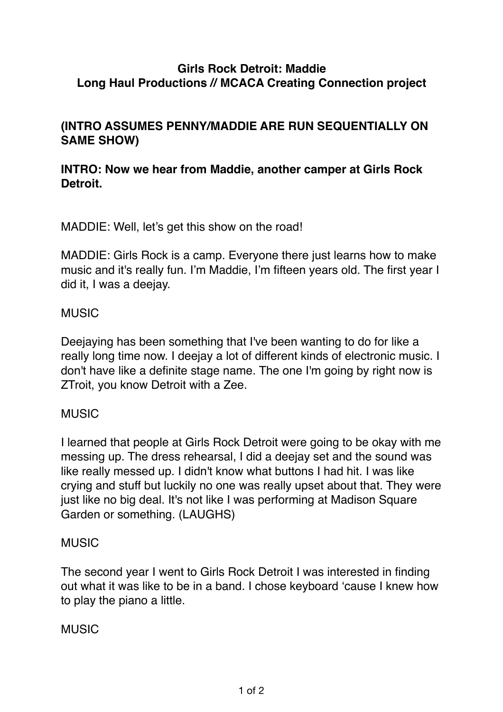### **Girls Rock Detroit: Maddie Long Haul Productions // MCACA Creating Connection project**

## **(INTRO ASSUMES PENNY/MADDIE ARE RUN SEQUENTIALLY ON SAME SHOW)**

## **INTRO: Now we hear from Maddie, another camper at Girls Rock Detroit.**

MADDIE: Well, let's get this show on the road!

MADDIE: Girls Rock is a camp. Everyone there just learns how to make music and it's really fun. I'm Maddie, I'm fifteen years old. The first year I did it, I was a deejay.

#### MUSIC

Deejaying has been something that I've been wanting to do for like a really long time now. I deejay a lot of different kinds of electronic music. I don't have like a definite stage name. The one I'm going by right now is ZTroit, you know Detroit with a Zee.

#### MUSIC

I learned that people at Girls Rock Detroit were going to be okay with me messing up. The dress rehearsal, I did a deejay set and the sound was like really messed up. I didn't know what buttons I had hit. I was like crying and stuff but luckily no one was really upset about that. They were just like no big deal. It's not like I was performing at Madison Square Garden or something. (LAUGHS)

#### MUSIC

The second year I went to Girls Rock Detroit I was interested in finding out what it was like to be in a band. I chose keyboard 'cause I knew how to play the piano a little.

#### **MUSIC**